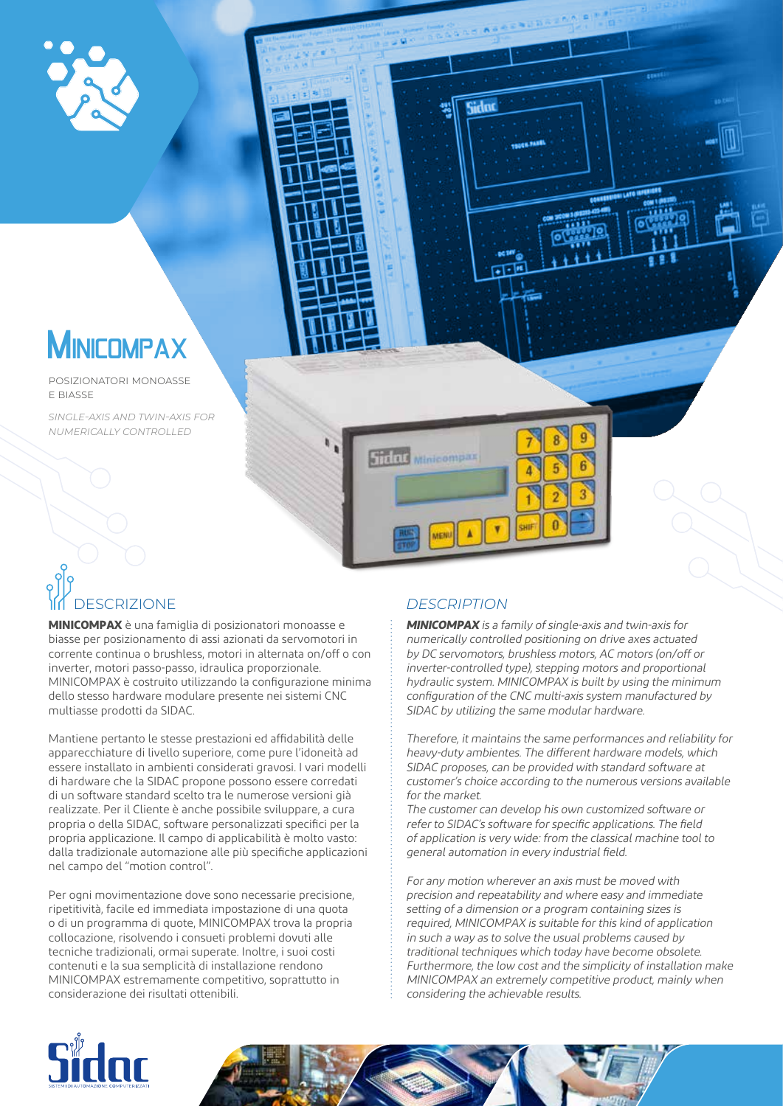

# **MINICOMPAX**

posizionatori monoasse e biasse

*single-axis and twin-axis for numerically controlled* 



Sidoo

# DESCRIZIONE *DESCRIPTION*

**MINICOMPAX** è una famiglia di posizionatori monoasse e biasse per posizionamento di assi azionati da servomotori in corrente continua o brushless, motori in alternata on/off o con inverter, motori passo-passo, idraulica proporzionale. MINICOMPAX è costruito utilizzando la configurazione minima dello stesso hardware modulare presente nei sistemi CNC multiasse prodotti da SIDAC.

Mantiene pertanto le stesse prestazioni ed affidabilità delle apparecchiature di livello superiore, come pure l'idoneità ad essere installato in ambienti considerati gravosi. I vari modelli di hardware che la SIDAC propone possono essere corredati di un software standard scelto tra le numerose versioni già realizzate. Per il Cliente è anche possibile sviluppare, a cura propria o della SIDAC, software personalizzati specifici per la propria applicazione. Il campo di applicabilità è molto vasto: dalla tradizionale automazione alle più specifiche applicazioni nel campo del "motion control".

Per ogni movimentazione dove sono necessarie precisione, ripetitività, facile ed immediata impostazione di una quota o di un programma di quote, MINICOMPAX trova la propria collocazione, risolvendo i consueti problemi dovuti alle tecniche tradizionali, ormai superate. Inoltre, i suoi costi contenuti e la sua semplicità di installazione rendono MINICOMPAX estremamente competitivo, soprattutto in considerazione dei risultati ottenibili.

**MINICOMPAX** is a family of single-axis and twin-axis for numerically controlled positioning on drive axes actuated by DC servomotors, brushless motors, AC motors (on/off or inverter-controlled type), stepping motors and proportional hydraulic system. MINICOMPAX is built by using the minimum configuration of the CNC multi-axis system manufactured by SIDAC by utilizing the same modular hardware.

Therefore, it maintains the same performances and reliability for heavy-duty ambientes. The different hardware models, which SIDAC proposes, can be provided with standard software at customer's choice according to the numerous versions available for the market.

The customer can develop his own customized software or refer to SIDAC's software for specific applications. The field of application is very wide: from the classical machine tool to general automation in every industrial field.

For any motion wherever an axis must be moved with precision and repeatability and where easy and immediate setting of a dimension or a program containing sizes is required, MINICOMPAX is suitable for this kind of application in such a way as to solve the usual problems caused by traditional techniques which today have become obsolete. Furthermore, the low cost and the simplicity of installation make MINICOMPAX an extremely competitive product, mainly when considering the achievable results.